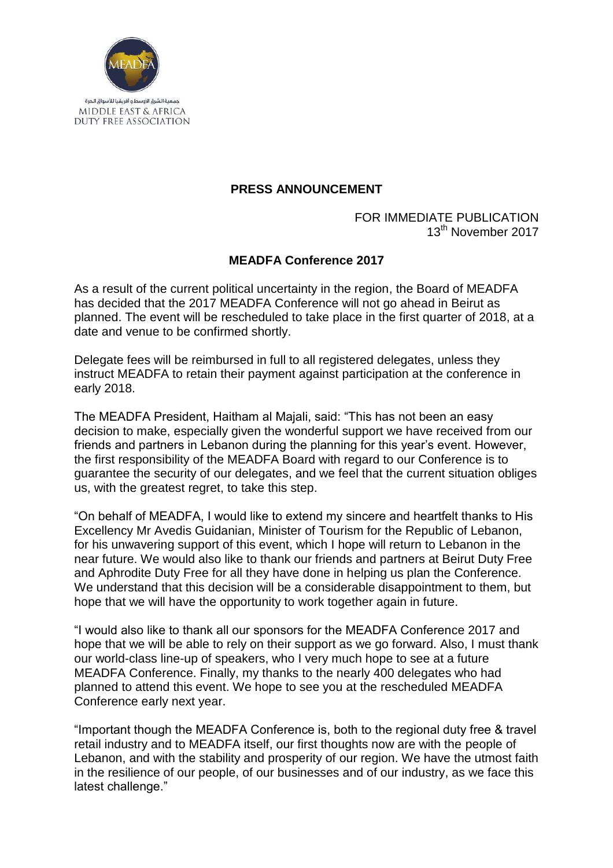

## **PRESS ANNOUNCEMENT**

## FOR IMMEDIATE PUBLICATION 13<sup>th</sup> November 2017

## **MEADFA Conference 2017**

As a result of the current political uncertainty in the region, the Board of MEADFA has decided that the 2017 MEADFA Conference will not go ahead in Beirut as planned. The event will be rescheduled to take place in the first quarter of 2018, at a date and venue to be confirmed shortly.

Delegate fees will be reimbursed in full to all registered delegates, unless they instruct MEADFA to retain their payment against participation at the conference in early 2018.

The MEADFA President, Haitham al Majali, said: "This has not been an easy decision to make, especially given the wonderful support we have received from our friends and partners in Lebanon during the planning for this year's event. However, the first responsibility of the MEADFA Board with regard to our Conference is to guarantee the security of our delegates, and we feel that the current situation obliges us, with the greatest regret, to take this step.

"On behalf of MEADFA, I would like to extend my sincere and heartfelt thanks to His Excellency Mr Avedis Guidanian, Minister of Tourism for the Republic of Lebanon, for his unwavering support of this event, which I hope will return to Lebanon in the near future. We would also like to thank our friends and partners at Beirut Duty Free and Aphrodite Duty Free for all they have done in helping us plan the Conference. We understand that this decision will be a considerable disappointment to them, but hope that we will have the opportunity to work together again in future.

"I would also like to thank all our sponsors for the MEADFA Conference 2017 and hope that we will be able to rely on their support as we go forward. Also, I must thank our world-class line-up of speakers, who I very much hope to see at a future MEADFA Conference. Finally, my thanks to the nearly 400 delegates who had planned to attend this event. We hope to see you at the rescheduled MEADFA Conference early next year.

"Important though the MEADFA Conference is, both to the regional duty free & travel retail industry and to MEADFA itself, our first thoughts now are with the people of Lebanon, and with the stability and prosperity of our region. We have the utmost faith in the resilience of our people, of our businesses and of our industry, as we face this latest challenge."